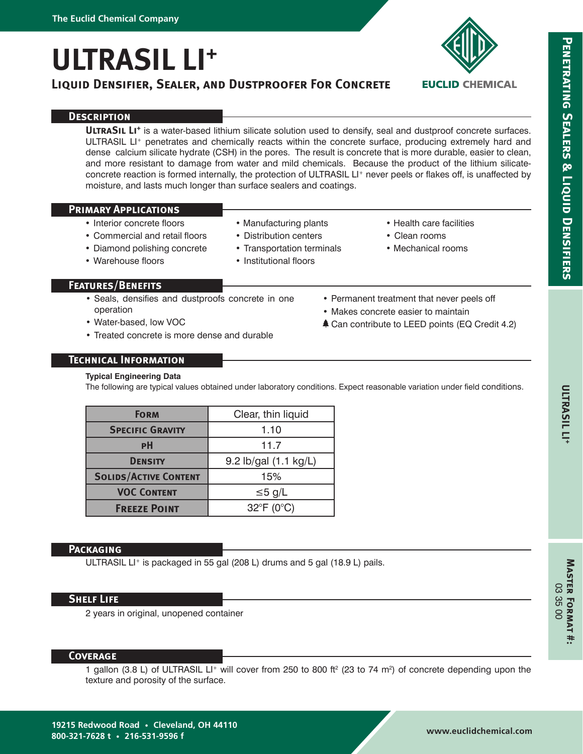**ULTRASIL LI+**

# **Liquid Densifier, Sealer, and Dustproofer For Concrete**



**EUCLID CHEMICAL** 

# **PENETRATING SEALERS & LIQUID DENSIFIERS Penetrating Sealers & Liquid Densifiers**

# **Description**

**ULTRASIL LI<sup>+</sup>** is a water-based lithium silicate solution used to densify, seal and dustproof concrete surfaces. ULTRASIL LI<sup>+</sup> penetrates and chemically reacts within the concrete surface, producing extremely hard and dense calcium silicate hydrate (CSH) in the pores. The result is concrete that is more durable, easier to clean, and more resistant to damage from water and mild chemicals. Because the product of the lithium silicateconcrete reaction is formed internally, the protection of ULTRASIL LI<sup>+</sup> never peels or flakes off, is unaffected by moisture, and lasts much longer than surface sealers and coatings.

### **Primary Applications**

• Warehouse floors

- Interior concrete floors
- Commercial and retail floors • Diamond polishing concrete
- Distribution centers
	- Transportation terminals

• Manufacturing plants

- Institutional floors
- 

### **Features/Benefits**

- Seals, densifies and dustproofs concrete in one operation
- Water-based, low VOC
- Treated concrete is more dense and durable
- Permanent treatment that never peels off
- Makes concrete easier to maintain
- **≜ Can contribute to LEED points (EQ Credit 4.2)**

• Health care facilities • Clean rooms • Mechanical rooms

# **Technical Information**

#### **Typical Engineering Data**

The following are typical values obtained under laboratory conditions. Expect reasonable variation under field conditions.

| <b>FORM</b>                  | Clear, thin liquid        |
|------------------------------|---------------------------|
| <b>SPECIFIC GRAVITY</b>      | 1.10                      |
| PH                           | 11.7                      |
| <b>DENSITY</b>               | 9.2 lb/gal (1.1 kg/L)     |
| <b>SOLIDS/ACTIVE CONTENT</b> | 15%                       |
| <b>VOC CONTENT</b>           | $\leq 5$ g/L              |
| <b>FREEZE POINT</b>          | $32^{\circ}F(0^{\circ}C)$ |

# **Packaging**

ULTRASIL LI<sup>+</sup> is packaged in 55 gal (208 L) drums and 5 gal (18.9 L) pails.

#### **Shelf Life**

2 years in original, unopened container

#### **Coverage**

1 gallon (3.8 L) of ULTRASIL LI+ will cover from 250 to 800 ft<sup>2</sup> (23 to 74 m<sup>2</sup>) of concrete depending upon the texture and porosity of the surface.